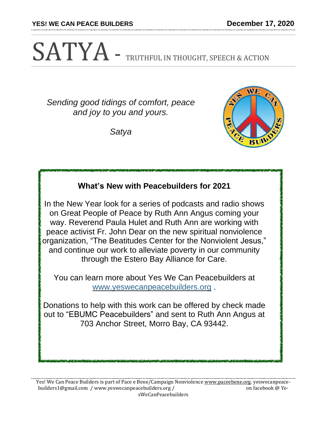**YES! WE CAN PEACE BUILDERS December 17, 2020**

# SATYA - TRUTHFUL IN THOUGHT, SPEECH & ACTION

*Sending good tidings of comfort, peace and joy to you and yours.*

*Satya*



## **What's New with Peacebuilders for 2021**

In the New Year look for a series of podcasts and radio shows on Great People of Peace by Ruth Ann Angus coming your way. Reverend Paula Hulet and Ruth Ann are working with peace activist Fr. John Dear on the new spiritual nonviolence organization, "The Beatitudes Center for the Nonviolent Jesus," and continue our work to alleviate poverty in our community through the Estero Bay Alliance for Care.

You can learn more about Yes We Can Peacebuilders at [www.yeswecanpeacebuilders.org](http://www.yeswecanpeacebuilders.org/) .

Donations to help with this work can be offered by check made out to "EBUMC Peacebuilders" and sent to Ruth Ann Angus at 703 Anchor Street, Morro Bay, CA 93442.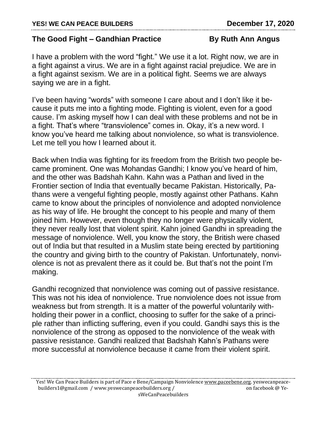## **The Good Fight – Gandhian Practice By Ruth Ann Angus**

I have a problem with the word "fight." We use it a lot. Right now, we are in a fight against a virus. We are in a fight against racial prejudice. We are in a fight against sexism. We are in a political fight. Seems we are always saying we are in a fight.

I've been having "words" with someone I care about and I don't like it because it puts me into a fighting mode. Fighting is violent, even for a good cause. I'm asking myself how I can deal with these problems and not be in a fight. That's where "transviolence" comes in. Okay, it's a new word. I know you've heard me talking about nonviolence, so what is transviolence. Let me tell you how I learned about it.

Back when India was fighting for its freedom from the British two people became prominent. One was Mohandas Gandhi; I know you've heard of him, and the other was Badshah Kahn. Kahn was a Pathan and lived in the Frontier section of India that eventually became Pakistan. Historically, Pathans were a vengeful fighting people, mostly against other Pathans. Kahn came to know about the principles of nonviolence and adopted nonviolence as his way of life. He brought the concept to his people and many of them joined him. However, even though they no longer were physically violent, they never really lost that violent spirit. Kahn joined Gandhi in spreading the message of nonviolence. Well, you know the story, the British were chased out of India but that resulted in a Muslim state being erected by partitioning the country and giving birth to the country of Pakistan. Unfortunately, nonviolence is not as prevalent there as it could be. But that's not the point I'm making.

Gandhi recognized that nonviolence was coming out of passive resistance. This was not his idea of nonviolence. True nonviolence does not issue from weakness but from strength. It is a matter of the powerful voluntarily withholding their power in a conflict, choosing to suffer for the sake of a principle rather than inflicting suffering, even if you could. Gandhi says this is the nonviolence of the strong as opposed to the nonviolence of the weak with passive resistance. Gandhi realized that Badshah Kahn's Pathans were more successful at nonviolence because it came from their violent spirit.

Yes! We Can Peace Builders is part of Pace e Bene/Campaign Nonviolence [www.paceebene.org.](http://www.paceebene.org/) yeswecanpeacebuilders1@gmail.com / www.yeswecanpeacebuilders.org / on facebook @ YesWeCanPeacebuilders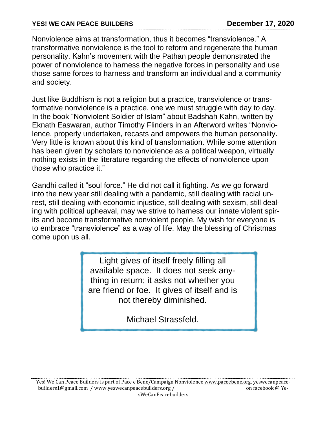Nonviolence aims at transformation, thus it becomes "transviolence." A transformative nonviolence is the tool to reform and regenerate the human personality. Kahn's movement with the Pathan people demonstrated the power of nonviolence to harness the negative forces in personality and use those same forces to harness and transform an individual and a community and society.

Just like Buddhism is not a religion but a practice, transviolence or transformative nonviolence is a practice, one we must struggle with day to day. In the book "Nonviolent Soldier of Islam" about Badshah Kahn, written by Eknath Easwaran, author Timothy Flinders in an Afterword writes "Nonviolence, properly undertaken, recasts and empowers the human personality. Very little is known about this kind of transformation. While some attention has been given by scholars to nonviolence as a political weapon, virtually nothing exists in the literature regarding the effects of nonviolence upon those who practice it."

Gandhi called it "soul force." He did not call it fighting. As we go forward into the new year still dealing with a pandemic, still dealing with racial unrest, still dealing with economic injustice, still dealing with sexism, still dealing with political upheaval, may we strive to harness our innate violent spirits and become transformative nonviolent people. My wish for everyone is to embrace "transviolence" as a way of life. May the blessing of Christmas come upon us all.

> Light gives of itself freely filling all available space. It does not seek anything in return; it asks not whether you are friend or foe. It gives of itself and is not thereby diminished.

> > Michael Strassfeld.